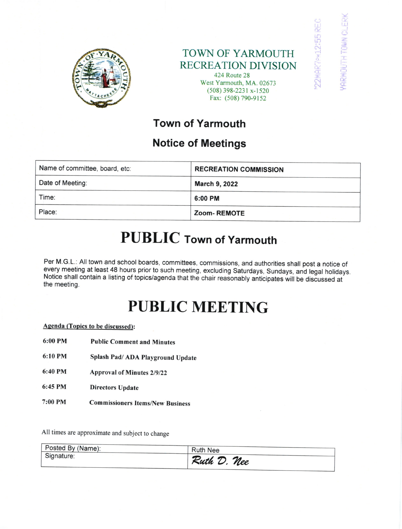

### TOWN OF YARMOUTH RECREATION DIVISION

rt (- FF)<br>Farmouth town cle<br>' Farmouth town cle



## Town of Yarmouth

## Notice of Meetings

| Name of committee, board, etc: | <b>RECREATION COMMISSION</b> |
|--------------------------------|------------------------------|
| Date of Meeting:               | <b>March 9, 2022</b>         |
| Time:                          | 6:00 PM                      |
| Place:                         | <b>Zoom-REMOTE</b>           |

## PUBLIC Town of Yarmouth

Per M.G.L.: All town and school boards, committees, commissions, and authorities shall post a notice of every meeting at least 48 hours prior to such meeting, excluding Saturdays, Sundays, and legal holidays. Notice shall contain a listing of topics/agenda that the chair reasonably anticipates will be discussed at the meeting.

# PUBLIC MEETING

### Agenda (Topics to be discussed):

- 6:00 PM Public Comment and Minutes
- 6:10 PM Splash Pad/ ADA Playground Update
- 6:40 PM Approval of Minutes 2/9/22
- 6:45 PM Directors Update
- 7:00 PM **Commissioners Items/New Business**

All times are approximate and subject to change

| Posted By (Name): | <b>Ruth Nee</b> |
|-------------------|-----------------|
| Signature:        | Ruth D. Nee     |